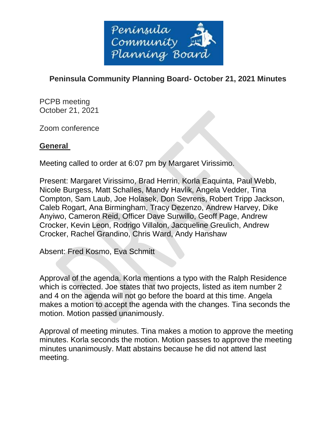

# **Peninsula Community Planning Board- October 21, 2021 Minutes**

PCPB meeting October 21, 2021

Zoom conference

## **General**

Meeting called to order at 6:07 pm by Margaret Virissimo.

Present: Margaret Virissimo, Brad Herrin, Korla Eaquinta, Paul Webb, Nicole Burgess, Matt Schalles, Mandy Havlik, Angela Vedder, Tina Compton, Sam Laub, Joe Holasek, Don Sevrens, Robert Tripp Jackson, Caleb Rogart, Ana Birmingham, Tracy Dezenzo, Andrew Harvey, Dike Anyiwo, Cameron Reid, Officer Dave Surwillo, Geoff Page, Andrew Crocker, Kevin Leon, Rodrigo Villalon, Jacqueline Greulich, Andrew Crocker, Rachel Grandino, Chris Ward, Andy Hanshaw

Absent: Fred Kosmo, Eva Schmitt

Approval of the agenda. Korla mentions a typo with the Ralph Residence which is corrected. Joe states that two projects, listed as item number 2 and 4 on the agenda will not go before the board at this time. Angela makes a motion to accept the agenda with the changes. Tina seconds the motion. Motion passed unanimously.

Approval of meeting minutes. Tina makes a motion to approve the meeting minutes. Korla seconds the motion. Motion passes to approve the meeting minutes unanimously. Matt abstains because he did not attend last meeting.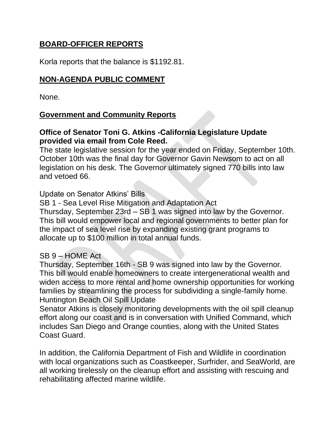## **BOARD-OFFICER REPORTS**

Korla reports that the balance is \$1192.81.

## **NON-AGENDA PUBLIC COMMENT**

None.

### **Government and Community Reports**

### **Office of Senator Toni G. Atkins -California Legislature Update provided via email from Cole Reed.**

The state legislative session for the year ended on Friday, September 10th. October 10th was the final day for Governor Gavin Newsom to act on all legislation on his desk. The Governor ultimately signed 770 bills into law and vetoed 66.

### Update on Senator Atkins' Bills

SB 1 - Sea Level Rise Mitigation and Adaptation Act Thursday, September 23rd – SB 1 was signed into law by the Governor. This bill would empower local and regional governments to better plan for the impact of sea level rise by expanding existing grant programs to allocate up to \$100 million in total annual funds.

## SB 9 – HOME Act

Thursday, September 16th - SB 9 was signed into law by the Governor. This bill would enable homeowners to create intergenerational wealth and widen access to more rental and home ownership opportunities for working families by streamlining the process for subdividing a single-family home. Huntington Beach Oil Spill Update

Senator Atkins is closely monitoring developments with the oil spill cleanup effort along our coast and is in conversation with Unified Command, which includes San Diego and Orange counties, along with the United States Coast Guard.

In addition, the California Department of Fish and Wildlife in coordination with local organizations such as Coastkeeper, Surfrider, and SeaWorld, are all working tirelessly on the cleanup effort and assisting with rescuing and rehabilitating affected marine wildlife.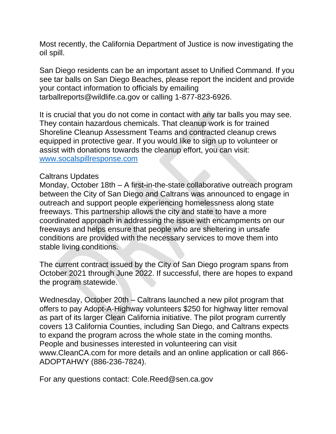Most recently, the California Department of Justice is now investigating the oil spill.

San Diego residents can be an important asset to Unified Command. If you see tar balls on San Diego Beaches, please report the incident and provide your contact information to officials by emailing tarballreports@wildlife.ca.gov or calling 1-877-823-6926.

It is crucial that you do not come in contact with any tar balls you may see. They contain hazardous chemicals. That cleanup work is for trained Shoreline Cleanup Assessment Teams and contracted cleanup crews equipped in protective gear. If you would like to sign up to volunteer or assist with donations towards the cleanup effort, you can visit: [www.socalspillresponse.com](http://www.socalspillresponse.com/)

#### Caltrans Updates

Monday, October 18th – A first-in-the-state collaborative outreach program between the City of San Diego and Caltrans was announced to engage in outreach and support people experiencing homelessness along state freeways. This partnership allows the city and state to have a more coordinated approach in addressing the issue with encampments on our freeways and helps ensure that people who are sheltering in unsafe conditions are provided with the necessary services to move them into stable living conditions.

The current contract issued by the City of San Diego program spans from October 2021 through June 2022. If successful, there are hopes to expand the program statewide.

Wednesday, October 20th – Caltrans launched a new pilot program that offers to pay Adopt-A-Highway volunteers \$250 for highway litter removal as part of its larger Clean California initiative. The pilot program currently covers 13 California Counties, including San Diego, and Caltrans expects to expand the program across the whole state in the coming months. People and businesses interested in volunteering can visit www.CleanCA.com for more details and an online application or call 866- ADOPTAHWY (886-236-7824).

For any questions contact: Cole.Reed@sen.ca.gov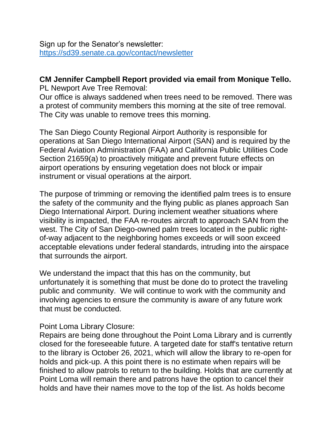Sign up for the Senator's newsletter: <https://sd39.senate.ca.gov/contact/newsletter>

## **CM Jennifer Campbell Report provided via email from Monique Tello.**

PL Newport Ave Tree Removal:

Our office is always saddened when trees need to be removed. There was a protest of community members this morning at the site of tree removal. The City was unable to remove trees this morning.

The San Diego County Regional Airport Authority is responsible for operations at San Diego International Airport (SAN) and is required by the Federal Aviation Administration (FAA) and California Public Utilities Code Section 21659(a) to proactively mitigate and prevent future effects on airport operations by ensuring vegetation does not block or impair instrument or visual operations at the airport.

The purpose of trimming or removing the identified palm trees is to ensure the safety of the community and the flying public as planes approach San Diego International Airport. During inclement weather situations where visibility is impacted, the FAA re-routes aircraft to approach SAN from the west. The City of San Diego-owned palm trees located in the public rightof-way adjacent to the neighboring homes exceeds or will soon exceed acceptable elevations under federal standards, intruding into the airspace that surrounds the airport.

We understand the impact that this has on the community, but unfortunately it is something that must be done do to protect the traveling public and community. We will continue to work with the community and involving agencies to ensure the community is aware of any future work that must be conducted.

### Point Loma Library Closure:

Repairs are being done throughout the Point Loma Library and is currently closed for the foreseeable future. A targeted date for staff's tentative return to the library is October 26, 2021, which will allow the library to re-open for holds and pick-up. A this point there is no estimate when repairs will be finished to allow patrols to return to the building. Holds that are currently at Point Loma will remain there and patrons have the option to cancel their holds and have their names move to the top of the list. As holds become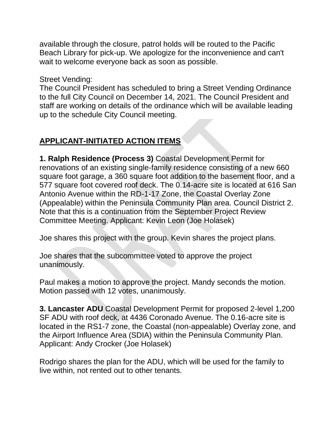available through the closure, patrol holds will be routed to the Pacific Beach Library for pick-up. We apologize for the inconvenience and can't wait to welcome everyone back as soon as possible.

Street Vending:

The Council President has scheduled to bring a Street Vending Ordinance to the full City Council on December 14, 2021. The Council President and staff are working on details of the ordinance which will be available leading up to the schedule City Council meeting.

# **APPLICANT-INITIATED ACTION ITEMS**

**1. Ralph Residence (Process 3)** Coastal Development Permit for renovations of an existing single-family residence consisting of a new 660 square foot garage, a 360 square foot addition to the basement floor, and a 577 square foot covered roof deck. The 0.14-acre site is located at 616 San Antonio Avenue within the RD-1-17 Zone, the Coastal Overlay Zone (Appealable) within the Peninsula Community Plan area. Council District 2. Note that this is a continuation from the September Project Review Committee Meeting. Applicant: Kevin Leon (Joe Holasek)

Joe shares this project with the group. Kevin shares the project plans.

Joe shares that the subcommittee voted to approve the project unanimously.

Paul makes a motion to approve the project. Mandy seconds the motion. Motion passed with 12 votes, unanimously.

**3. Lancaster ADU** Coastal Development Permit for proposed 2-level 1,200 SF ADU with roof deck, at 4436 Coronado Avenue. The 0.16-acre site is located in the RS1-7 zone, the Coastal (non-appealable) Overlay zone, and the Airport Influence Area (SDIA) within the Peninsula Community Plan. Applicant: Andy Crocker (Joe Holasek)

Rodrigo shares the plan for the ADU, which will be used for the family to live within, not rented out to other tenants.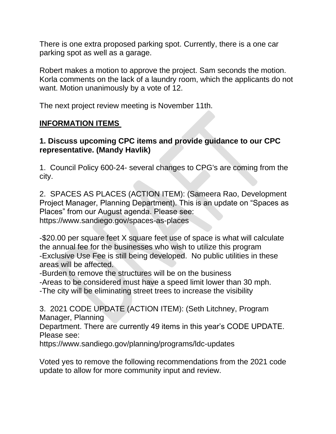There is one extra proposed parking spot. Currently, there is a one car parking spot as well as a garage.

Robert makes a motion to approve the project. Sam seconds the motion. Korla comments on the lack of a laundry room, which the applicants do not want. Motion unanimously by a vote of 12.

The next project review meeting is November 11th.

## **INFORMATION ITEMS**

### **1. Discuss upcoming CPC items and provide guidance to our CPC representative. (Mandy Havlik)**

1. Council Policy 600-24- several changes to CPG's are coming from the city.

2. SPACES AS PLACES (ACTION ITEM): (Sameera Rao, Development Project Manager, Planning Department). This is an update on "Spaces as Places" from our August agenda. Please see: https://www.sandiego.gov/spaces-as-places

-\$20.00 per square feet X square feet use of space is what will calculate the annual fee for the businesses who wish to utilize this program -Exclusive Use Fee is still being developed. No public utilities in these areas will be affected.

-Burden to remove the structures will be on the business

-Areas to be considered must have a speed limit lower than 30 mph.

-The city will be eliminating street trees to increase the visibility

3. 2021 CODE UPDATE (ACTION ITEM): (Seth Litchney, Program Manager, Planning

Department. There are currently 49 items in this year's CODE UPDATE. Please see:

https://www.sandiego.gov/planning/programs/ldc-updates

Voted yes to remove the following recommendations from the 2021 code update to allow for more community input and review.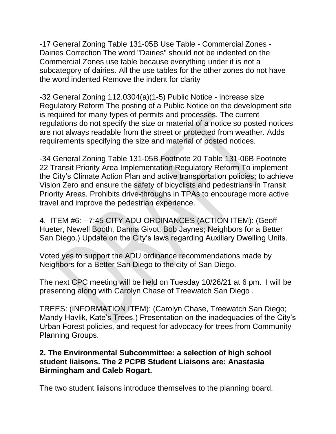-17 General Zoning Table 131-05B Use Table - Commercial Zones - Dairies Correction The word "Dairies" should not be indented on the Commercial Zones use table because everything under it is not a subcategory of dairies. All the use tables for the other zones do not have the word indented Remove the indent for clarity

-32 General Zoning 112.0304(a)(1-5) Public Notice - increase size Regulatory Reform The posting of a Public Notice on the development site is required for many types of permits and processes. The current regulations do not specify the size or material of a notice so posted notices are not always readable from the street or protected from weather. Adds requirements specifying the size and material of posted notices.

-34 General Zoning Table 131-05B Footnote 20 Table 131-06B Footnote 22 Transit Priority Area Implementation Regulatory Reform To implement the City's Climate Action Plan and active transportation policies; to achieve Vision Zero and ensure the safety of bicyclists and pedestrians in Transit Priority Areas. Prohibits drive-throughs in TPAs to encourage more active travel and improve the pedestrian experience.

4. ITEM #6: --7:45 CITY ADU ORDINANCES (ACTION ITEM): (Geoff Hueter, Newell Booth, Danna Givot, Bob Jaynes; Neighbors for a Better San Diego.) Update on the City's laws regarding Auxiliary Dwelling Units.

Voted yes to support the ADU ordinance recommendations made by Neighbors for a Better San Diego to the city of San Diego.

The next CPC meeting will be held on Tuesday 10/26/21 at 6 pm. I will be presenting along with Carolyn Chase of Treewatch San Diego .

TREES: (INFORMATION ITEM): (Carolyn Chase, Treewatch San Diego; Mandy Havlik, Kate's Trees.) Presentation on the inadequacies of the City's Urban Forest policies, and request for advocacy for trees from Community Planning Groups.

### **2. The Environmental Subcommittee: a selection of high school student liaisons. The 2 PCPB Student Liaisons are: Anastasia Birmingham and Caleb Rogart.**

The two student liaisons introduce themselves to the planning board.